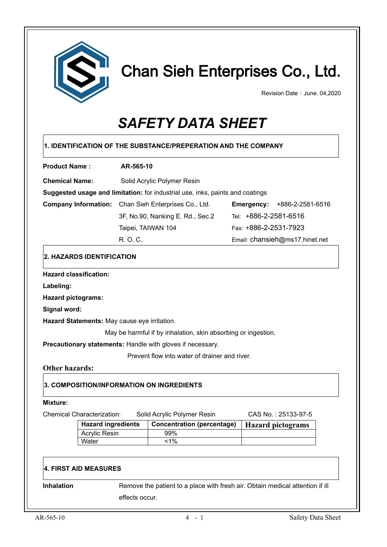

# Chan Sieh Enterprises Co., Ltd.

Revision Date: June. 04,2020

# *SAFETY DATA SHEET*

| <b>Product Name:</b>                                                                                                                                                             | AR-565-10                       |                                                                               |                                    |                                |
|----------------------------------------------------------------------------------------------------------------------------------------------------------------------------------|---------------------------------|-------------------------------------------------------------------------------|------------------------------------|--------------------------------|
| <b>Chemical Name:</b>                                                                                                                                                            | Solid Acrylic Polymer Resin     |                                                                               |                                    |                                |
| Suggested usage and limitation: for industrial use, inks, paints and coatings                                                                                                    |                                 |                                                                               |                                    |                                |
| <b>Company Information:</b>                                                                                                                                                      | Chan Sieh Enterprises Co., Ltd. |                                                                               | <b>Emergency: +886-2-2581-6516</b> |                                |
|                                                                                                                                                                                  |                                 | 3F, No.90, Nanking E. Rd., Sec.2                                              | Tel: +886-2-2581-6516              |                                |
|                                                                                                                                                                                  | Taipei, TAIWAN 104              |                                                                               | Fax: +886-2-2531-7923              |                                |
|                                                                                                                                                                                  | R. O. C.                        |                                                                               |                                    | Email: chansieh@ms17.hinet.net |
| 2. HAZARDS IDENTIFICATION                                                                                                                                                        |                                 |                                                                               |                                    |                                |
| <b>Hazard classification:</b>                                                                                                                                                    |                                 |                                                                               |                                    |                                |
| Labeling:                                                                                                                                                                        |                                 |                                                                               |                                    |                                |
| <b>Hazard pictograms:</b>                                                                                                                                                        |                                 |                                                                               |                                    |                                |
| Signal word:                                                                                                                                                                     |                                 |                                                                               |                                    |                                |
|                                                                                                                                                                                  |                                 |                                                                               |                                    |                                |
|                                                                                                                                                                                  |                                 |                                                                               |                                    |                                |
|                                                                                                                                                                                  |                                 | May be harmful if by inhalation, skin absorbing or ingestion.                 |                                    |                                |
|                                                                                                                                                                                  |                                 |                                                                               |                                    |                                |
|                                                                                                                                                                                  |                                 | Prevent flow into water of drainer and river.                                 |                                    |                                |
|                                                                                                                                                                                  |                                 |                                                                               |                                    |                                |
| Hazard Statements: May cause eye irritation.<br>Precautionary statements: Handle with gloves if necessary.<br><b>Other hazards:</b><br>3. COMPOSITION/INFORMATION ON INGREDIENTS |                                 |                                                                               |                                    |                                |
| <b>Mixture:</b>                                                                                                                                                                  |                                 |                                                                               |                                    |                                |
|                                                                                                                                                                                  |                                 | Solid Acrylic Polymer Resin                                                   |                                    | CAS No.: 25133-97-5            |
| <b>Chemical Characterization:</b><br><b>Hazard ingredients</b>                                                                                                                   |                                 | <b>Concentration (percentage)</b>                                             |                                    | <b>Hazard pictograms</b>       |
| <b>Acrylic Resin</b>                                                                                                                                                             |                                 | 99%                                                                           |                                    |                                |
| Water                                                                                                                                                                            |                                 | $1\%$                                                                         |                                    |                                |
| <b>4. FIRST AID MEASURES</b>                                                                                                                                                     |                                 |                                                                               |                                    |                                |
| Inhalation                                                                                                                                                                       |                                 | Remove the patient to a place with fresh air. Obtain medical attention if ill |                                    |                                |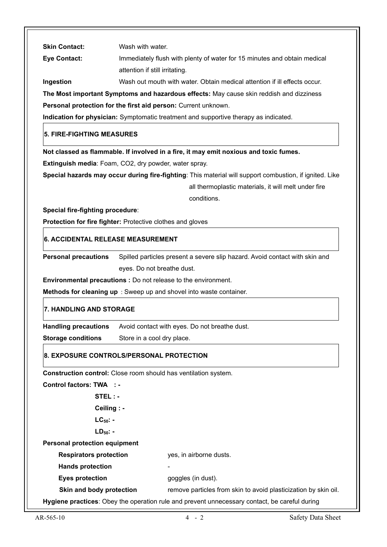| <b>Skin Contact:</b>                 | Wash with water.                                                                                        |
|--------------------------------------|---------------------------------------------------------------------------------------------------------|
| <b>Eye Contact:</b>                  | Immediately flush with plenty of water for 15 minutes and obtain medical                                |
|                                      | attention if still irritating.                                                                          |
| Ingestion                            | Wash out mouth with water. Obtain medical attention if ill effects occur.                               |
|                                      | The Most important Symptoms and hazardous effects: May cause skin reddish and dizziness                 |
|                                      | Personal protection for the first aid person: Current unknown.                                          |
|                                      | Indication for physician: Symptomatic treatment and supportive therapy as indicated.                    |
| 5. FIRE-FIGHTING MEASURES            |                                                                                                         |
|                                      | Not classed as flammable. If involved in a fire, it may emit noxious and toxic fumes.                   |
|                                      | Extinguish media: Foam, CO2, dry powder, water spray.                                                   |
|                                      | Special hazards may occur during fire-fighting: This material will support combustion, if ignited. Like |
|                                      | all thermoplastic materials, it will melt under fire                                                    |
|                                      | conditions.                                                                                             |
| Special fire-fighting procedure:     |                                                                                                         |
|                                      | Protection for fire fighter: Protective clothes and gloves                                              |
| 6. ACCIDENTAL RELEASE MEASUREMENT    |                                                                                                         |
| <b>Personal precautions</b>          | Spilled particles present a severe slip hazard. Avoid contact with skin and                             |
|                                      | eyes. Do not breathe dust.                                                                              |
|                                      | <b>Environmental precautions :</b> Do not release to the environment.                                   |
|                                      | Methods for cleaning up : Sweep up and shovel into waste container.                                     |
| <b>7. HANDLING AND STORAGE</b>       |                                                                                                         |
| <b>Handling precautions</b>          | Avoid contact with eyes. Do not breathe dust.                                                           |
| <b>Storage conditions</b>            | Store in a cool dry place.                                                                              |
|                                      | 8. EXPOSURE CONTROLS/PERSONAL PROTECTION                                                                |
|                                      | Construction control: Close room should has ventilation system.                                         |
| <b>Control factors: TWA : -</b>      |                                                                                                         |
| STEL : -                             |                                                                                                         |
| Ceiling : -                          |                                                                                                         |
| $LC_{50}$ : -                        |                                                                                                         |
| $LD_{50}$ -                          |                                                                                                         |
| <b>Personal protection equipment</b> |                                                                                                         |
| <b>Respirators protection</b>        | yes, in airborne dusts.                                                                                 |
| <b>Hands protection</b>              |                                                                                                         |
| <b>Eyes protection</b>               | goggles (in dust).                                                                                      |
| Skin and body protection             | remove particles from skin to avoid plasticization by skin oil.                                         |
|                                      | Hygiene practices: Obey the operation rule and prevent unnecessary contact, be careful during           |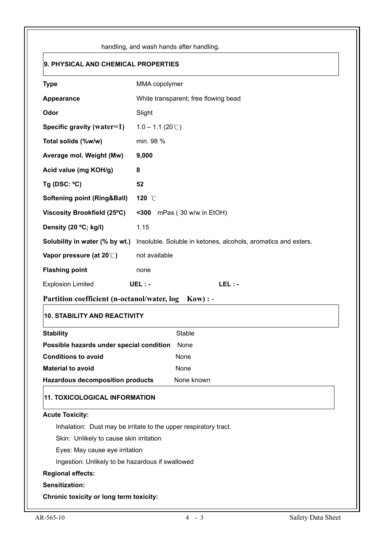|                                                  | handling, and wash hands after handling.                         |  |  |
|--------------------------------------------------|------------------------------------------------------------------|--|--|
| 9. PHYSICAL AND CHEMICAL PROPERTIES              |                                                                  |  |  |
| <b>Type</b>                                      | MMA copolymer                                                    |  |  |
| Appearance                                       | White transparent; free flowing bead                             |  |  |
| Odor                                             | Slight                                                           |  |  |
| Specific gravity (water=1)                       | $1.0 - 1.1 (20^{\circ}$ C)                                       |  |  |
| Total solids (%w/w)                              | min. 98 %                                                        |  |  |
| Average mol. Weight (Mw)                         | 9,000                                                            |  |  |
| Acid value (mg KOH/g)                            | 8                                                                |  |  |
| Tg (DSC: $°C$ )                                  | 52                                                               |  |  |
| <b>Softening point (Ring&amp;Ball)</b>           | 120 °C                                                           |  |  |
| Viscosity Brookfield (25°C)                      | $300$<br>mPas (30 w/w in EtOH)                                   |  |  |
| Density (20 °C; kg/l)                            | 1.15                                                             |  |  |
| Solubility in water (% by wt.)                   | Insoluble. Soluble in ketones, alcohols, aromatics and esters.   |  |  |
| Vapor pressure (at 20°C)                         | not available                                                    |  |  |
| <b>Flashing point</b>                            | none                                                             |  |  |
| <b>Explosion Limited</b>                         | $LEL: -$<br>UEL:-                                                |  |  |
| Partition coefficient (n-octanol/water, log      | $Kow$ : -                                                        |  |  |
| <b>10. STABILITY AND REACTIVITY</b>              |                                                                  |  |  |
| <b>Stability</b>                                 | <b>Stable</b>                                                    |  |  |
| Possible hazards under special condition         | None                                                             |  |  |
| <b>Conditions to avoid</b>                       | None                                                             |  |  |
| <b>Material to avoid</b>                         | None                                                             |  |  |
| <b>Hazardous decomposition products</b>          | None known                                                       |  |  |
| <b>11. TOXICOLOGICAL INFORMATION</b>             |                                                                  |  |  |
| <b>Acute Toxicity:</b>                           |                                                                  |  |  |
|                                                  | Inhalation: Dust may be irritate to the upper respiratory tract. |  |  |
| Skin: Unlikely to cause skin irritation          |                                                                  |  |  |
| Eyes: May cause eye irritation                   |                                                                  |  |  |
|                                                  |                                                                  |  |  |
| Ingestion: Unlikely to be hazardous if swallowed |                                                                  |  |  |
| <b>Regional effects:</b>                         |                                                                  |  |  |